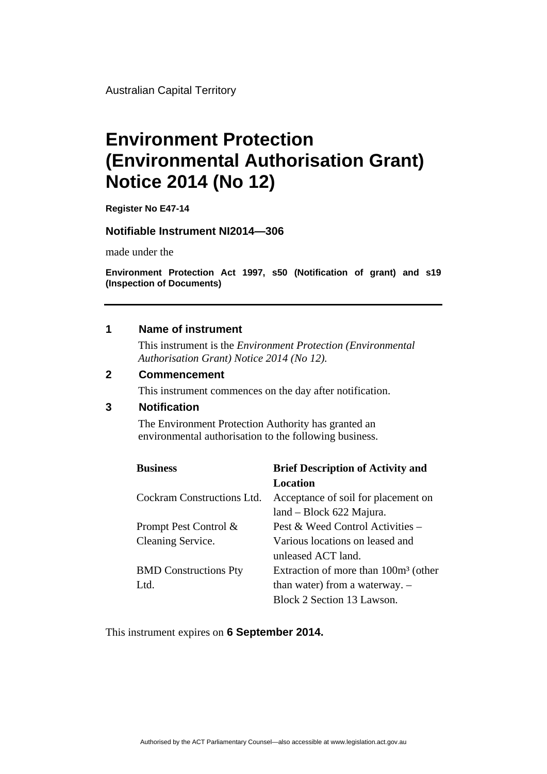Australian Capital Territory

# **Environment Protection (Environmental Authorisation Grant) Notice 2014 (No 12)**

**Register No E47-14** 

#### **Notifiable Instrument NI2014—306**

made under the

**Environment Protection Act 1997, s50 (Notification of grant) and s19 (Inspection of Documents)** 

#### **1 Name of instrument**

This instrument is the *Environment Protection (Environmental Authorisation Grant) Notice 2014 (No 12).* 

#### **2 Commencement**

This instrument commences on the day after notification.

### **3 Notification**

The Environment Protection Authority has granted an environmental authorisation to the following business.

| <b>Business</b>              | <b>Brief Description of Activity and</b> |
|------------------------------|------------------------------------------|
|                              | <b>Location</b>                          |
| Cockram Constructions Ltd.   | Acceptance of soil for placement on      |
|                              | land – Block 622 Majura.                 |
| Prompt Pest Control &        | Pest & Weed Control Activities –         |
| Cleaning Service.            | Various locations on leased and          |
|                              | unleased ACT land.                       |
| <b>BMD</b> Constructions Pty | Extraction of more than $100m3$ (other   |
| Ltd.                         | than water) from a waterway. $-$         |
|                              | Block 2 Section 13 Lawson.               |

This instrument expires on **6 September 2014.**